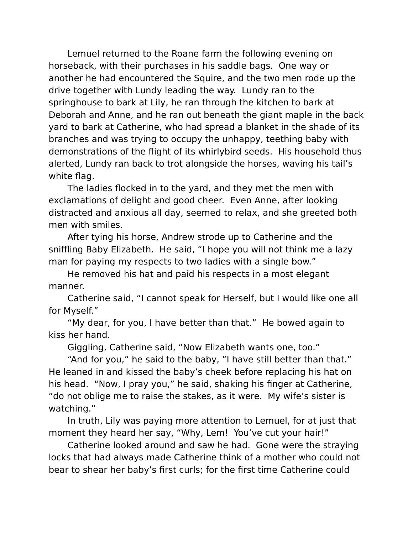Lemuel returned to the Roane farm the following evening on horseback, with their purchases in his saddle bags. One way or another he had encountered the Squire, and the two men rode up the drive together with Lundy leading the way. Lundy ran to the springhouse to bark at Lily, he ran through the kitchen to bark at Deborah and Anne, and he ran out beneath the giant maple in the back yard to bark at Catherine, who had spread a blanket in the shade of its branches and was trying to occupy the unhappy, teething baby with demonstrations of the flight of its whirlybird seeds. His household thus alerted, Lundy ran back to trot alongside the horses, waving his tail's white flag.

The ladies flocked in to the yard, and they met the men with exclamations of delight and good cheer. Even Anne, after looking distracted and anxious all day, seemed to relax, and she greeted both men with smiles.

After tying his horse, Andrew strode up to Catherine and the sniffling Baby Elizabeth. He said, "I hope you will not think me a lazy man for paying my respects to two ladies with a single bow."

He removed his hat and paid his respects in a most elegant manner.

Catherine said, "I cannot speak for Herself, but I would like one all for Myself."

"My dear, for you, I have better than that." He bowed again to kiss her hand.

Giggling, Catherine said, "Now Elizabeth wants one, too."

"And for you," he said to the baby, "I have still better than that." He leaned in and kissed the baby's cheek before replacing his hat on his head. "Now, I pray you," he said, shaking his finger at Catherine, "do not oblige me to raise the stakes, as it were. My wife's sister is watching."

In truth, Lily was paying more attention to Lemuel, for at just that moment they heard her say, "Why, Lem! You've cut your hair!"

Catherine looked around and saw he had. Gone were the straying locks that had always made Catherine think of a mother who could not bear to shear her baby's first curls; for the first time Catherine could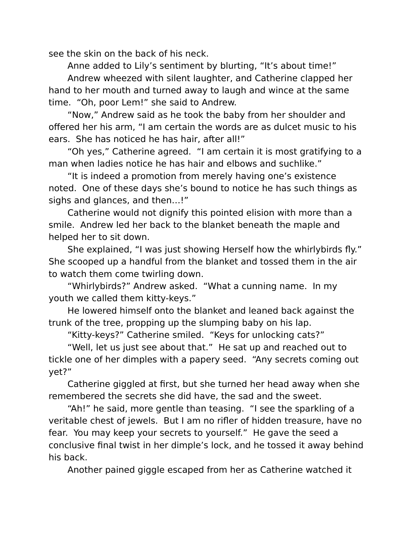see the skin on the back of his neck.

Anne added to Lily's sentiment by blurting, "It's about time!"

Andrew wheezed with silent laughter, and Catherine clapped her hand to her mouth and turned away to laugh and wince at the same time. "Oh, poor Lem!" she said to Andrew.

"Now," Andrew said as he took the baby from her shoulder and offered her his arm, "I am certain the words are as dulcet music to his ears. She has noticed he has hair, after all!"

"Oh yes," Catherine agreed. "I am certain it is most gratifying to a man when ladies notice he has hair and elbows and suchlike."

"It is indeed a promotion from merely having one's existence noted. One of these days she's bound to notice he has such things as sighs and glances, and then…!"

Catherine would not dignify this pointed elision with more than a smile. Andrew led her back to the blanket beneath the maple and helped her to sit down.

She explained, "I was just showing Herself how the whirlybirds fly." She scooped up a handful from the blanket and tossed them in the air to watch them come twirling down.

"Whirlybirds?" Andrew asked. "What a cunning name. In my youth we called them kitty-keys."

He lowered himself onto the blanket and leaned back against the trunk of the tree, propping up the slumping baby on his lap.

"Kitty-keys?" Catherine smiled. "Keys for unlocking cats?"

"Well, let us just see about that." He sat up and reached out to tickle one of her dimples with a papery seed. "Any secrets coming out yet?"

Catherine giggled at first, but she turned her head away when she remembered the secrets she did have, the sad and the sweet.

"Ah!" he said, more gentle than teasing. "I see the sparkling of a veritable chest of jewels. But I am no rifler of hidden treasure, have no fear. You may keep your secrets to yourself." He gave the seed a conclusive final twist in her dimple's lock, and he tossed it away behind his back.

Another pained giggle escaped from her as Catherine watched it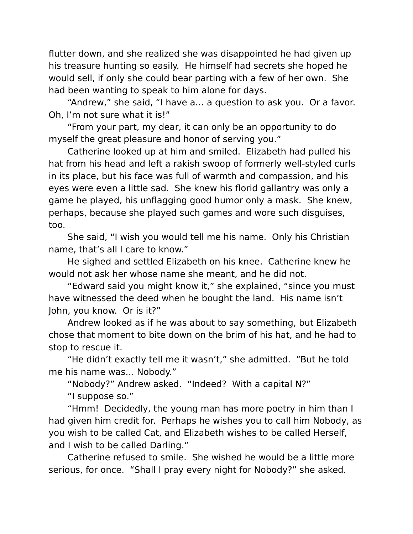flutter down, and she realized she was disappointed he had given up his treasure hunting so easily. He himself had secrets she hoped he would sell, if only she could bear parting with a few of her own. She had been wanting to speak to him alone for days.

"Andrew," she said, "I have a… a question to ask you. Or a favor. Oh, I'm not sure what it is!"

"From your part, my dear, it can only be an opportunity to do myself the great pleasure and honor of serving you."

Catherine looked up at him and smiled. Elizabeth had pulled his hat from his head and left a rakish swoop of formerly well-styled curls in its place, but his face was full of warmth and compassion, and his eyes were even a little sad. She knew his florid gallantry was only a game he played, his unflagging good humor only a mask. She knew, perhaps, because she played such games and wore such disguises, too.

She said, "I wish you would tell me his name. Only his Christian name, that's all I care to know."

He sighed and settled Elizabeth on his knee. Catherine knew he would not ask her whose name she meant, and he did not.

"Edward said you might know it," she explained, "since you must have witnessed the deed when he bought the land. His name isn't John, you know. Or is it?"

Andrew looked as if he was about to say something, but Elizabeth chose that moment to bite down on the brim of his hat, and he had to stop to rescue it.

"He didn't exactly tell me it wasn't," she admitted. "But he told me his name was… Nobody."

"Nobody?" Andrew asked. "Indeed? With a capital N?"

"I suppose so."

"Hmm! Decidedly, the young man has more poetry in him than I had given him credit for. Perhaps he wishes you to call him Nobody, as you wish to be called Cat, and Elizabeth wishes to be called Herself, and I wish to be called Darling."

Catherine refused to smile. She wished he would be a little more serious, for once. "Shall I pray every night for Nobody?" she asked.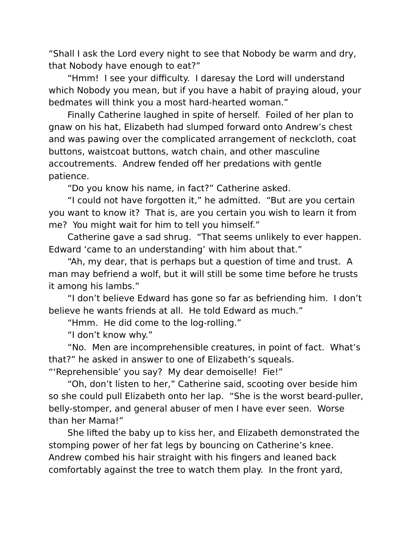"Shall I ask the Lord every night to see that Nobody be warm and dry, that Nobody have enough to eat?"

"Hmm! I see your difficulty. I daresay the Lord will understand which Nobody you mean, but if you have a habit of praying aloud, your bedmates will think you a most hard-hearted woman."

Finally Catherine laughed in spite of herself. Foiled of her plan to gnaw on his hat, Elizabeth had slumped forward onto Andrew's chest and was pawing over the complicated arrangement of neckcloth, coat buttons, waistcoat buttons, watch chain, and other masculine accoutrements. Andrew fended off her predations with gentle patience.

"Do you know his name, in fact?" Catherine asked.

"I could not have forgotten it," he admitted. "But are you certain you want to know it? That is, are you certain you wish to learn it from me? You might wait for him to tell you himself."

Catherine gave a sad shrug. "That seems unlikely to ever happen. Edward 'came to an understanding' with him about that."

"Ah, my dear, that is perhaps but a question of time and trust. A man may befriend a wolf, but it will still be some time before he trusts it among his lambs."

"I don't believe Edward has gone so far as befriending him. I don't believe he wants friends at all. He told Edward as much."

"Hmm. He did come to the log-rolling."

"I don't know why."

"No. Men are incomprehensible creatures, in point of fact. What's that?" he asked in answer to one of Elizabeth's squeals.

"'Reprehensible' you say? My dear demoiselle! Fie!"

"Oh, don't listen to her," Catherine said, scooting over beside him so she could pull Elizabeth onto her lap. "She is the worst beard-puller, belly-stomper, and general abuser of men I have ever seen. Worse than her Mama!"

She lifted the baby up to kiss her, and Elizabeth demonstrated the stomping power of her fat legs by bouncing on Catherine's knee. Andrew combed his hair straight with his fingers and leaned back comfortably against the tree to watch them play. In the front yard,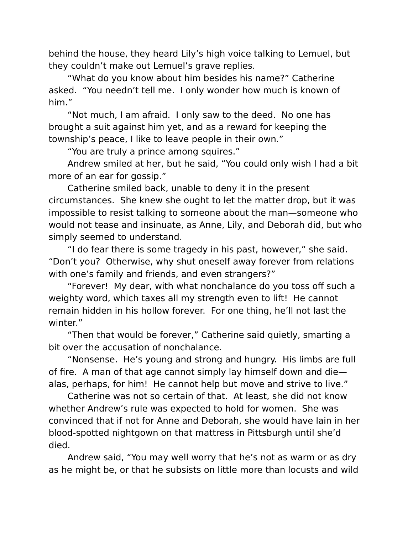behind the house, they heard Lily's high voice talking to Lemuel, but they couldn't make out Lemuel's grave replies.

"What do you know about him besides his name?" Catherine asked. "You needn't tell me. I only wonder how much is known of him."

"Not much, I am afraid. I only saw to the deed. No one has brought a suit against him yet, and as a reward for keeping the township's peace, I like to leave people in their own."

"You are truly a prince among squires."

Andrew smiled at her, but he said, "You could only wish I had a bit more of an ear for gossip."

Catherine smiled back, unable to deny it in the present circumstances. She knew she ought to let the matter drop, but it was impossible to resist talking to someone about the man—someone who would not tease and insinuate, as Anne, Lily, and Deborah did, but who simply seemed to understand.

"I do fear there is some tragedy in his past, however," she said. "Don't you? Otherwise, why shut oneself away forever from relations with one's family and friends, and even strangers?"

"Forever! My dear, with what nonchalance do you toss off such a weighty word, which taxes all my strength even to lift! He cannot remain hidden in his hollow forever. For one thing, he'll not last the winter."

"Then that would be forever," Catherine said quietly, smarting a bit over the accusation of nonchalance.

"Nonsense. He's young and strong and hungry. His limbs are full of fire. A man of that age cannot simply lay himself down and die alas, perhaps, for him! He cannot help but move and strive to live."

Catherine was not so certain of that. At least, she did not know whether Andrew's rule was expected to hold for women. She was convinced that if not for Anne and Deborah, she would have lain in her blood-spotted nightgown on that mattress in Pittsburgh until she'd died.

Andrew said, "You may well worry that he's not as warm or as dry as he might be, or that he subsists on little more than locusts and wild